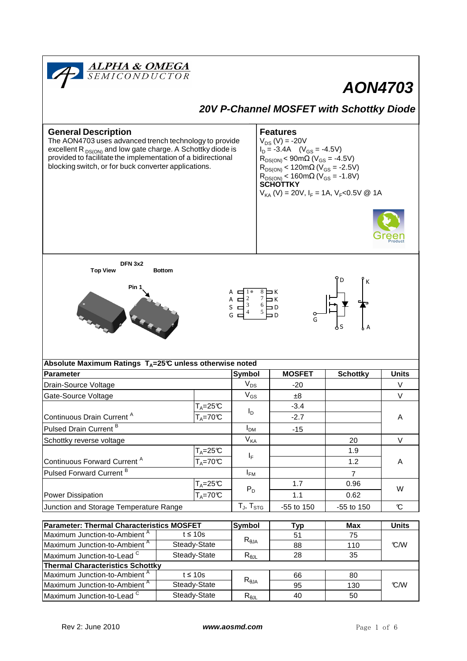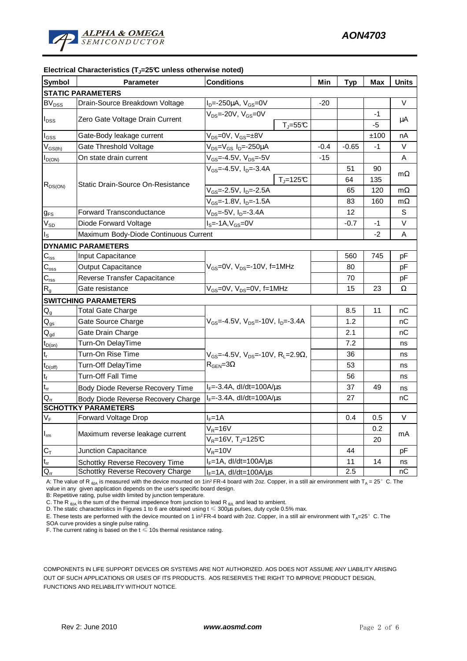| <b>Symbol</b>                          | <b>Parameter</b>                      | <b>Conditions</b>                                               | Min    | <b>Typ</b> | Max  | <b>Units</b> |
|----------------------------------------|---------------------------------------|-----------------------------------------------------------------|--------|------------|------|--------------|
| <b>STATIC PARAMETERS</b>               |                                       |                                                                 |        |            |      |              |
| <b>BV</b> <sub>DSS</sub>               | Drain-Source Breakdown Voltage        | $I_D = -250 \mu A$ , $V_{GS} = 0V$                              | -20    |            |      | V            |
| $I_{\text{DSS}}$                       | Zero Gate Voltage Drain Current       | $V_{DS}$ =-20V, $V_{GS}$ =0V                                    |        |            | $-1$ | μA           |
|                                        |                                       | $T_J = 55C$                                                     |        |            | -5   |              |
| $I_{\rm GSS}$                          | Gate-Body leakage current             | $V_{DS} = 0V$ , $V_{GS} = \pm 8V$                               |        |            | ±100 | nA           |
| $V_{GS(th)}$                           | Gate Threshold Voltage                | $V_{DS} = V_{GS} I_D = -250 \mu A$                              | $-0.4$ | $-0.65$    | $-1$ | $\vee$       |
| $I_{D(ON)}$                            | On state drain current                | $V_{GS} = -4.5V$ , $V_{DS} = -5V$                               | $-15$  |            |      | A            |
| $R_{DS(ON)}$                           | Static Drain-Source On-Resistance     | $V_{GS}$ =-4.5V, $I_{D}$ =-3.4A                                 |        | 51         | 90   |              |
|                                        |                                       | $T_J = 125C$                                                    |        | 64         | 135  | $m\Omega$    |
|                                        |                                       | $V_{GS}$ =-2.5V, $I_{D}$ =-2.5A                                 |        | 65         | 120  | $m\Omega$    |
|                                        |                                       | V <sub>GS</sub> =-1.8V, I <sub>D</sub> =-1.5A                   |        | 83         | 160  | $m\Omega$    |
| $g_{FS}$                               | <b>Forward Transconductance</b>       | $V_{DS} = -5V$ , $I_D = -3.4A$                                  |        | 12         |      | S            |
| $\rm V_{SD}$                           | Diode Forward Voltage                 | $IS=-1A, VGS=0V$                                                |        | $-0.7$     | $-1$ | V            |
| $I_{\rm S}$                            | Maximum Body-Diode Continuous Current |                                                                 |        |            | $-2$ | A            |
| <b>DYNAMIC PARAMETERS</b>              |                                       |                                                                 |        |            |      |              |
| $C_{\text{iss}}$                       | Input Capacitance                     | $V_{GS}$ =0V, $V_{DS}$ =-10V, f=1MHz                            |        | 560        | 745  | рF           |
| $\mathbf{C}_{\mathrm{oss}}$            | <b>Output Capacitance</b>             |                                                                 |        | 80         |      | рF           |
| $C_{\rm rss}$                          | Reverse Transfer Capacitance          |                                                                 |        | 70         |      | рF           |
| $R_{g}$                                | Gate resistance                       | $V_{GS}$ =0V, $V_{DS}$ =0V, f=1MHz                              |        | 15         | 23   | Ω            |
| <b>SWITCHING PARAMETERS</b>            |                                       |                                                                 |        |            |      |              |
| $\mathsf{Q}_{\mathsf{g}}$              | <b>Total Gate Charge</b>              | $V_{GS}$ =-4.5V, $V_{DS}$ =-10V, $I_{D}$ =-3.4A                 |        | 8.5        | 11   | пC           |
| $\mathsf{Q}_{\text{gs}}$               | Gate Source Charge                    |                                                                 |        | 1.2        |      | nC           |
| $\mathsf{Q}_{\underline{\mathsf{gd}}}$ | Gate Drain Charge                     |                                                                 |        | 2.1        |      | пC           |
| $t_{D(0n)}$                            | Turn-On DelayTime                     |                                                                 |        | 7.2        |      | ns           |
| $t_r$                                  | Turn-On Rise Time                     | $V_{GS}$ =-4.5V, $V_{DS}$ =-10V, R <sub>L</sub> =2.9 $\Omega$ , |        | 36         |      | ns           |
| $t_{D(off)}$                           | Turn-Off DelayTime                    | $R_{\text{GEN}} = 3\Omega$                                      |        | 53         |      | ns           |
| $\mathbf{t}_\text{f}$                  | Turn-Off Fall Time                    |                                                                 |        | 56         |      | ns           |
| $\mathfrak{t}_{\text{rr}}$             | Body Diode Reverse Recovery Time      | $I_F = -3.4A$ , dl/dt=100A/ $\mu$ s                             |        | 37         | 49   | ns           |
| $Q_{rr}$                               | Body Diode Reverse Recovery Charge    | $I_F = -3.4A$ , dl/dt=100A/ $\mu$ s                             |        | 27         |      | nС           |
| <b>SCHOTTKY PARAMETERS</b>             |                                       |                                                                 |        |            |      |              |
| $\mathsf{V}_\mathsf{F}$                | Forward Voltage Drop                  | $I_F = 1A$                                                      |        | 0.4        | 0.5  | $\vee$       |
| $I_{rm}$                               | Maximum reverse leakage current       | $V_R = 16V$                                                     |        |            | 0.2  | mA           |
|                                        |                                       | $V_R$ =16V, T <sub>J</sub> =125°C                               |        |            | 20   |              |
| $C_T$                                  | Junction Capacitance                  | $V_R = 10V$                                                     |        | 44         |      | рF           |
| $\mathfrak{t}_{\text{rr}}$             | Schottky Reverse Recovery Time        | $I_F = 1A$ , dl/dt=100A/ $\mu$ s                                |        | 11         | 14   | ns           |
| $Q_{rr}$                               | Schottky Reverse Recovery Charge      | $I_F = 1A$ , dl/dt=100A/ $\mu$ s                                |        | 2.5        |      | nC           |

#### **Electrical Characteristics (TJ=25°C unless otherwise noted)**

A: The value of R <sub>θJA</sub> is measured with the device mounted on 1in<sup>2</sup> FR-4 board with 2oz. Copper, in a still air environment with T<sub>A</sub> = 25°C. The value in any given application depends on the user's specific board design.

B: Repetitive rating, pulse width limited by junction temperature.

C. The R  $_{\text{dA}}$  is the sum of the thermal impedence from junction to lead R  $_{\text{dL}}$  and lead to ambient.

D. The static characteristics in Figures 1 to 6 are obtained using t ≤ 300µs pulses, duty cycle 0.5% max.

E. These tests are performed with the device mounted on 1 in<sup>2</sup>FR-4 board with 2oz. Copper, in a still air environment with T<sub>A</sub>=25°C. The SOA curve provides a single pulse rating.

F. The current rating is based on the  $t \leqslant 10$ s thermal resistance rating.

COMPONENTS IN LIFE SUPPORT DEVICES OR SYSTEMS ARE NOT AUTHORIZED. AOS DOES NOT ASSUME ANY LIABILITY ARISING OUT OF SUCH APPLICATIONS OR USES OF ITS PRODUCTS. AOS RESERVES THE RIGHT TO IMPROVE PRODUCT DESIGN, FUNCTIONS AND RELIABILITY WITHOUT NOTICE.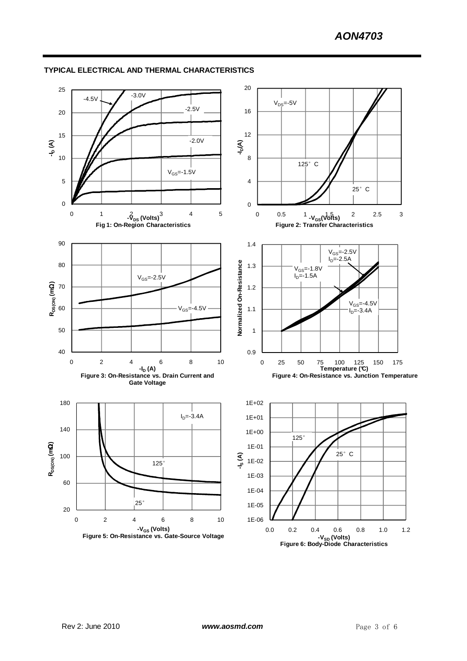

#### **TYPICAL ELECTRICAL AND THERMAL CHARACTERISTICS**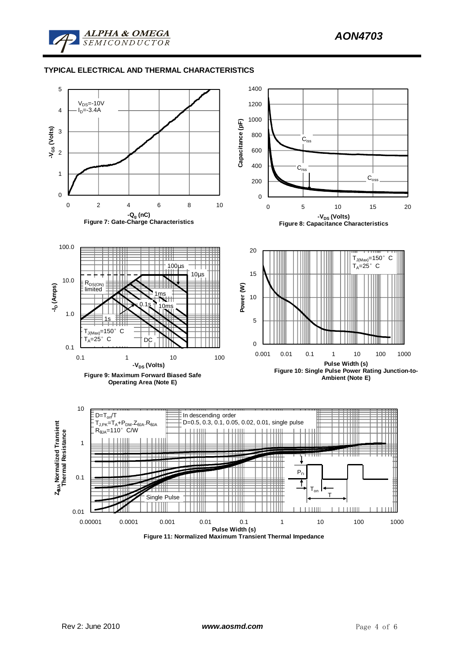

#### **TYPICAL ELECTRICAL AND THERMAL CHARACTERISTICS**

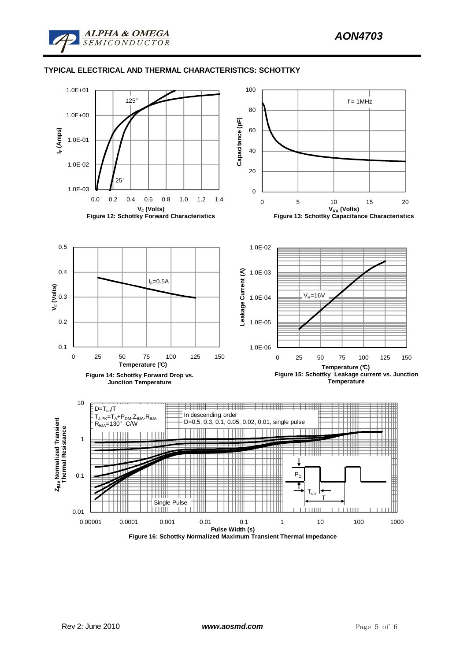

#### **TYPICAL ELECTRICAL AND THERMAL CHARACTERISTICS: SCHOTTKY**